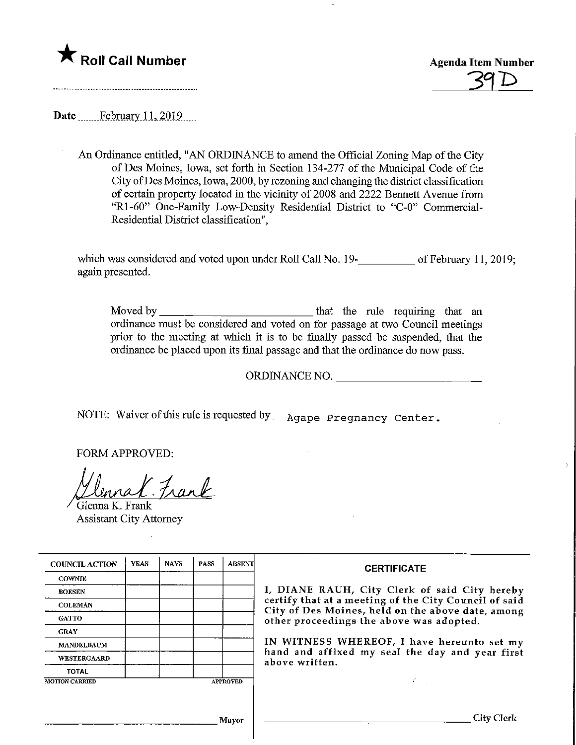



Date ........February. 11,2019.

An Ordinance entitled, "AN ORDINANCE to amend the Official Zoning Map of the City of Des Moines, Iowa, set forth in Section 134-277 of the Municipal Code of the City ofDes Moines, Iowa, 2000, by rezoning and changing the district classification of certain property located in the vicinity of 2008 and 2222 Bennett Avenue from "Rl-60" One-Family Low-Density Residential District to "C-0" Commercial-Residential District classification",

which was considered and voted upon under Roll Call No. 19—11 of February 11, 2019; again presented.

Moved by \_ that the rule requiring that an ordinance must be considered and voted on for passage at two Council meetings prior to the meeting at which it is to be finally passed be suspended, that the ordinance be placed upon its final passage and that the ordinance do now pass.

ORDINANCE NO.

NOTE: Waiver of this rule is requested by Agape Pregnancy Center.

FORM APPROVED:

Frank

Glenna K. Frank Assistant City Attorney

| <b>COUNCIL ACTION</b> | <b>YEAS</b> | <b>NAYS</b> | <b>PASS</b> | <b>ABSENT</b>   | <b>CERTIFICATE</b>                                                                                                                                                                                      |  |
|-----------------------|-------------|-------------|-------------|-----------------|---------------------------------------------------------------------------------------------------------------------------------------------------------------------------------------------------------|--|
| <b>COWNIE</b>         |             |             |             |                 |                                                                                                                                                                                                         |  |
| <b>BOESEN</b>         |             |             |             |                 | I, DIANE RAUH, City Clerk of said City hereby<br>certify that at a meeting of the City Council of said<br>City of Des Moines, held on the above date, among<br>other proceedings the above was adopted. |  |
| <b>COLEMAN</b>        |             |             |             |                 |                                                                                                                                                                                                         |  |
| <b>GATTO</b>          |             |             |             |                 |                                                                                                                                                                                                         |  |
| <b>GRAY</b>           |             |             |             |                 |                                                                                                                                                                                                         |  |
| <b>MANDELBAUM</b>     |             |             |             |                 | IN WITNESS WHEREOF, I have hereunto set my<br>hand and affixed my seal the day and year first<br>above written.                                                                                         |  |
| WESTERGAARD           |             |             |             |                 |                                                                                                                                                                                                         |  |
| <b>TOTAL</b>          |             |             |             |                 |                                                                                                                                                                                                         |  |
| <b>MOTION CARRIED</b> |             |             |             | <b>APPROVED</b> |                                                                                                                                                                                                         |  |
|                       |             |             |             |                 |                                                                                                                                                                                                         |  |
|                       |             |             |             |                 |                                                                                                                                                                                                         |  |
| Mayor                 |             |             |             |                 | City Clerk                                                                                                                                                                                              |  |